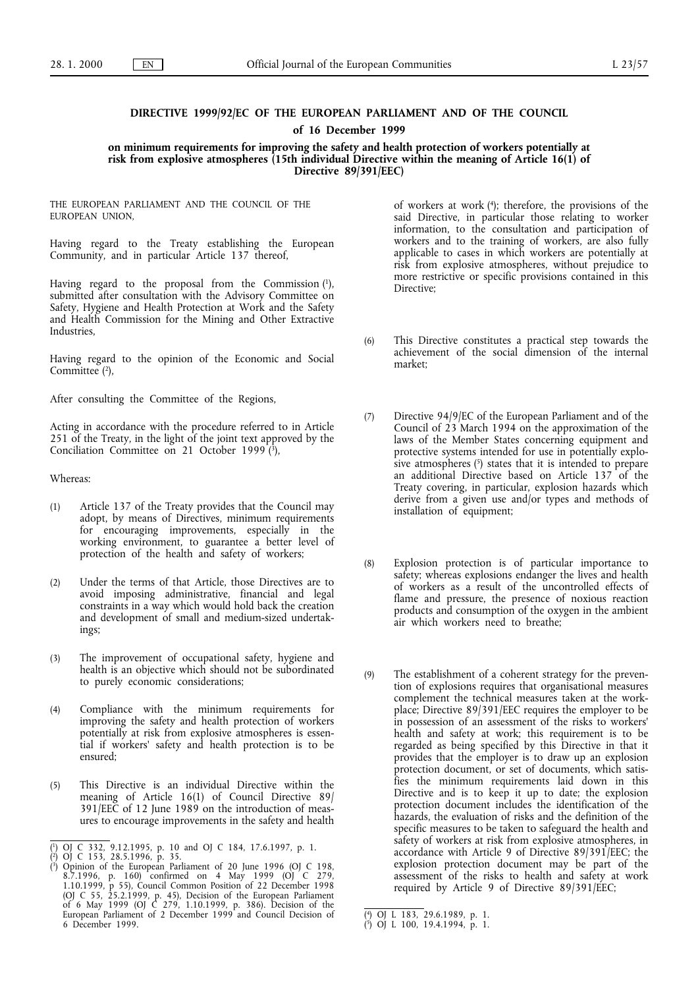# **DIRECTIVE 1999/92/EC OF THE EUROPEAN PARLIAMENT AND OF THE COUNCIL of 16 December 1999**

**on minimum requirements for improving the safety and health protection of workers potentially at risk from explosive atmospheres (15th individual Directive within the meaning of Article 16(1) of Directive 89/391/EEC)**

THE EUROPEAN PARLIAMENT AND THE COUNCIL OF THE EUROPEAN UNION,

Having regard to the Treaty establishing the European Community, and in particular Article 137 thereof,

Having regard to the proposal from the Commission (1), submitted after consultation with the Advisory Committee on Safety, Hygiene and Health Protection at Work and the Safety and Health Commission for the Mining and Other Extractive Industries,

Having regard to the opinion of the Economic and Social Committee<sup>(2)</sup>,

After consulting the Committee of the Regions,

Acting in accordance with the procedure referred to in Article 251 of the Treaty, in the light of the joint text approved by the Conciliation Committee on 21 October 1999 $(\overline{\text{3}})$ ,

Whereas:

- (1) Article 137 of the Treaty provides that the Council may adopt, by means of Directives, minimum requirements for encouraging improvements, especially in the working environment, to guarantee a better level of protection of the health and safety of workers;
- (2) Under the terms of that Article, those Directives are to avoid imposing administrative, financial and legal constraints in a way which would hold back the creation and development of small and medium-sized undertakings;
- (3) The improvement of occupational safety, hygiene and health is an objective which should not be subordinated to purely economic considerations;
- (4) Compliance with the minimum requirements for improving the safety and health protection of workers potentially at risk from explosive atmospheres is essential if workers' safety and health protection is to be ensured;
- (5) This Directive is an individual Directive within the meaning of Article 16(1) of Council Directive 89/ 391/EEC of 12 June 1989 on the introduction of measures to encourage improvements in the safety and health

of workers at work (4); therefore, the provisions of the said Directive, in particular those relating to worker information, to the consultation and participation of workers and to the training of workers, are also fully applicable to cases in which workers are potentially at risk from explosive atmospheres, without prejudice to more restrictive or specific provisions contained in this Directive;

- (6) This Directive constitutes a practical step towards the achievement of the social dimension of the internal market;
- (7) Directive 94/9/EC of the European Parliament and of the Council of 23 March 1994 on the approximation of the laws of the Member States concerning equipment and protective systems intended for use in potentially explosive atmospheres (5) states that it is intended to prepare an additional Directive based on Article 137 of the Treaty covering, in particular, explosion hazards which derive from a given use and/or types and methods of installation of equipment;
- (8) Explosion protection is of particular importance to safety; whereas explosions endanger the lives and health of workers as a result of the uncontrolled effects of flame and pressure, the presence of noxious reaction products and consumption of the oxygen in the ambient air which workers need to breathe;
- (9) The establishment of a coherent strategy for the prevention of explosions requires that organisational measures complement the technical measures taken at the workplace; Directive 89/391/EEC requires the employer to be in possession of an assessment of the risks to workers' health and safety at work; this requirement is to be regarded as being specified by this Directive in that it provides that the employer is to draw up an explosion protection document, or set of documents, which satisfies the minimum requirements laid down in this Directive and is to keep it up to date; the explosion protection document includes the identification of the hazards, the evaluation of risks and the definition of the specific measures to be taken to safeguard the health and safety of workers at risk from explosive atmospheres, in accordance with Article 9 of Directive 89/391/EEC; the explosion protection document may be part of the assessment of the risks to health and safety at work required by Article 9 of Directive 89/391/EEC;

<sup>(</sup> 1) OJ C 332, 9.12.1995, p. 10 and OJ C 184, 17.6.1997, p. 1.

<sup>(</sup> 2) OJ C 153, 28.5.1996, p. 35. ( 3) Opinion of the European Parliament of 20 June 1996 (OJ C 198, 8.7.1996, p. 160) confirmed on 4 May 1999 (OJ C 279, 1.10.1999, p 55), Council Common Position of 22 December 1998 (OJ C 55, 25.2.1999, p. 45), Decision of the European Parliament of 6 May 1999 (OJ C 279, 1.10.1999, p. 386). Decision of the European Parliament of 2 December 1999 and Council Decision of 6 December 1999.

<sup>(</sup> 4) OJ L 183, 29.6.1989, p. 1.

<sup>(</sup> 5) OJ L 100, 19.4.1994, p. 1.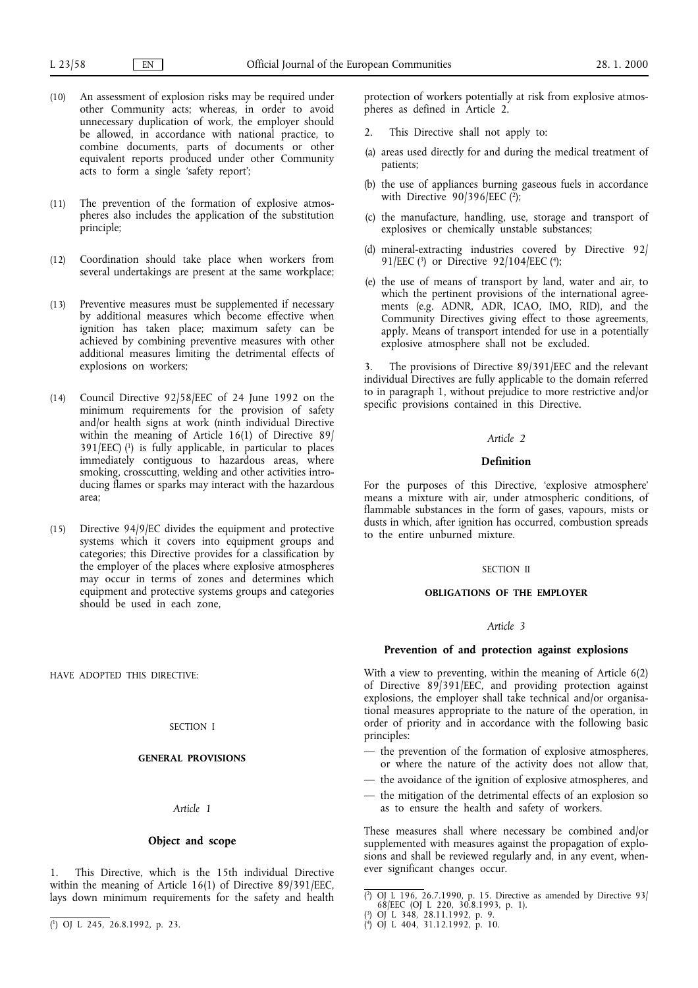- (10) An assessment of explosion risks may be required under other Community acts; whereas, in order to avoid unnecessary duplication of work, the employer should be allowed, in accordance with national practice, to combine documents, parts of documents or other equivalent reports produced under other Community acts to form a single 'safety report';
- (11) The prevention of the formation of explosive atmospheres also includes the application of the substitution principle;
- (12) Coordination should take place when workers from several undertakings are present at the same workplace;
- (13) Preventive measures must be supplemented if necessary by additional measures which become effective when ignition has taken place; maximum safety can be achieved by combining preventive measures with other additional measures limiting the detrimental effects of explosions on workers;
- (14) Council Directive 92/58/EEC of 24 June 1992 on the minimum requirements for the provision of safety and/or health signs at work (ninth individual Directive within the meaning of Article 16(1) of Directive 89/  $391/EEC$  (1) is fully applicable, in particular to places immediately contiguous to hazardous areas, where smoking, crosscutting, welding and other activities introducing flames or sparks may interact with the hazardous area;
- (15) Directive 94/9/EC divides the equipment and protective systems which it covers into equipment groups and categories; this Directive provides for a classification by the employer of the places where explosive atmospheres may occur in terms of zones and determines which equipment and protective systems groups and categories should be used in each zone,

HAVE ADOPTED THIS DIRECTIVE:

#### SECTION I

### **GENERAL PROVISIONS**

#### *Article 1*

# **Object and scope**

This Directive, which is the 15th individual Directive within the meaning of Article 16(1) of Directive 89/391/EEC, lays down minimum requirements for the safety and health

protection of workers potentially at risk from explosive atmospheres as defined in Article 2.

- 2. This Directive shall not apply to:
- (a) areas used directly for and during the medical treatment of patients;
- (b) the use of appliances burning gaseous fuels in accordance with Directive  $90/396/EEC$  ( $\frac{2}{3}$ );
- (c) the manufacture, handling, use, storage and transport of explosives or chemically unstable substances;
- (d) mineral-extracting industries covered by Directive 92/ 91/EEC (3) or Directive 92/104/EEC (4);
- (e) the use of means of transport by land, water and air, to which the pertinent provisions of the international agreements (e.g. ADNR, ADR, ICAO, IMO, RID), and the Community Directives giving effect to those agreements, apply. Means of transport intended for use in a potentially explosive atmosphere shall not be excluded.

3. The provisions of Directive 89/391/EEC and the relevant individual Directives are fully applicable to the domain referred to in paragraph 1, without prejudice to more restrictive and/or specific provisions contained in this Directive.

#### *Article 2*

### **Definition**

For the purposes of this Directive, 'explosive atmosphere' means a mixture with air, under atmospheric conditions, of flammable substances in the form of gases, vapours, mists or dusts in which, after ignition has occurred, combustion spreads to the entire unburned mixture.

### SECTION II

#### **OBLIGATIONS OF THE EMPLOYER**

### *Article 3*

### **Prevention of and protection against explosions**

With a view to preventing, within the meaning of Article 6(2) of Directive 89/391/EEC, and providing protection against explosions, the employer shall take technical and/or organisational measures appropriate to the nature of the operation, in order of priority and in accordance with the following basic principles:

- the prevention of the formation of explosive atmospheres, or where the nature of the activity does not allow that,
- the avoidance of the ignition of explosive atmospheres, and
- the mitigation of the detrimental effects of an explosion so as to ensure the health and safety of workers.

These measures shall where necessary be combined and/or supplemented with measures against the propagation of explosions and shall be reviewed regularly and, in any event, whenever significant changes occur.

<sup>(</sup> 2) OJ L 196, 26.7.1990, p. 15. Directive as amended by Directive 93/ 68/EEC (OJ L 220, 30.8.1993, p. 1).

<sup>(</sup> 3) OJ L 348, 28.11.1992, p. 9.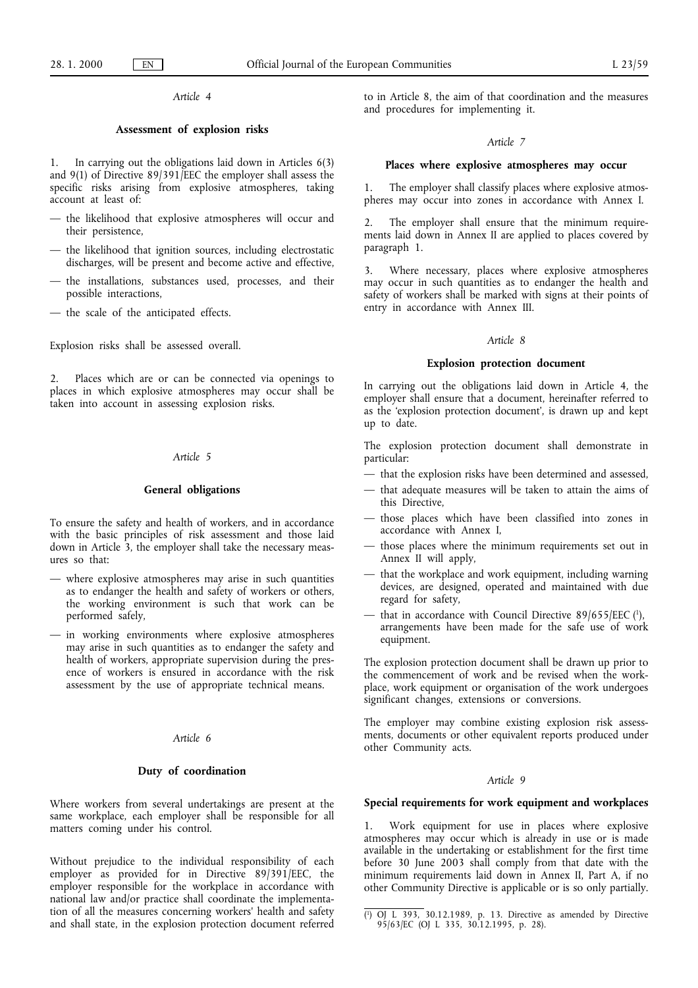# *Article 4*

## **Assessment of explosion risks**

1. In carrying out the obligations laid down in Articles 6(3) and 9(1) of Directive 89/391/EEC the employer shall assess the specific risks arising from explosive atmospheres, taking account at least of:

- the likelihood that explosive atmospheres will occur and their persistence,
- the likelihood that ignition sources, including electrostatic discharges, will be present and become active and effective,
- the installations, substances used, processes, and their possible interactions,
- the scale of the anticipated effects.

Explosion risks shall be assessed overall.

2. Places which are or can be connected via openings to places in which explosive atmospheres may occur shall be taken into account in assessing explosion risks.

# *Article 5*

# **General obligations**

To ensure the safety and health of workers, and in accordance with the basic principles of risk assessment and those laid down in Article 3, the employer shall take the necessary measures so that:

- where explosive atmospheres may arise in such quantities as to endanger the health and safety of workers or others, the working environment is such that work can be performed safely,
- in working environments where explosive atmospheres may arise in such quantities as to endanger the safety and health of workers, appropriate supervision during the presence of workers is ensured in accordance with the risk assessment by the use of appropriate technical means.

# *Article 6*

### **Duty of coordination**

Where workers from several undertakings are present at the same workplace, each employer shall be responsible for all matters coming under his control.

Without prejudice to the individual responsibility of each employer as provided for in Directive 89/391/EEC, the employer responsible for the workplace in accordance with national law and/or practice shall coordinate the implementation of all the measures concerning workers' health and safety and shall state, in the explosion protection document referred

to in Article 8, the aim of that coordination and the measures and procedures for implementing it.

#### *Article 7*

### **Places where explosive atmospheres may occur**

1. The employer shall classify places where explosive atmospheres may occur into zones in accordance with Annex I.

2. The employer shall ensure that the minimum requirements laid down in Annex II are applied to places covered by paragraph 1.

3. Where necessary, places where explosive atmospheres may occur in such quantities as to endanger the health and safety of workers shall be marked with signs at their points of entry in accordance with Annex III.

# *Article 8*

### **Explosion protection document**

In carrying out the obligations laid down in Article 4, the employer shall ensure that a document, hereinafter referred to as the 'explosion protection document', is drawn up and kept up to date.

The explosion protection document shall demonstrate in particular:

- that the explosion risks have been determined and assessed,
- that adequate measures will be taken to attain the aims of this Directive,
- those places which have been classified into zones in accordance with Annex I,
- those places where the minimum requirements set out in Annex II will apply,
- that the workplace and work equipment, including warning devices, are designed, operated and maintained with due regard for safety,
- that in accordance with Council Directive  $89/655/EEC$  (1), arrangements have been made for the safe use of work equipment.

The explosion protection document shall be drawn up prior to the commencement of work and be revised when the workplace, work equipment or organisation of the work undergoes significant changes, extensions or conversions.

The employer may combine existing explosion risk assessments, documents or other equivalent reports produced under other Community acts.

#### *Article 9*

### **Special requirements for work equipment and workplaces**

1. Work equipment for use in places where explosive atmospheres may occur which is already in use or is made available in the undertaking or establishment for the first time before 30 June 2003 shall comply from that date with the minimum requirements laid down in Annex II, Part A, if no other Community Directive is applicable or is so only partially.

<sup>(</sup> 1) OJ L 393, 30.12.1989, p. 13. Directive as amended by Directive 95/63/EC (OJ L 335, 30.12.1995, p. 28).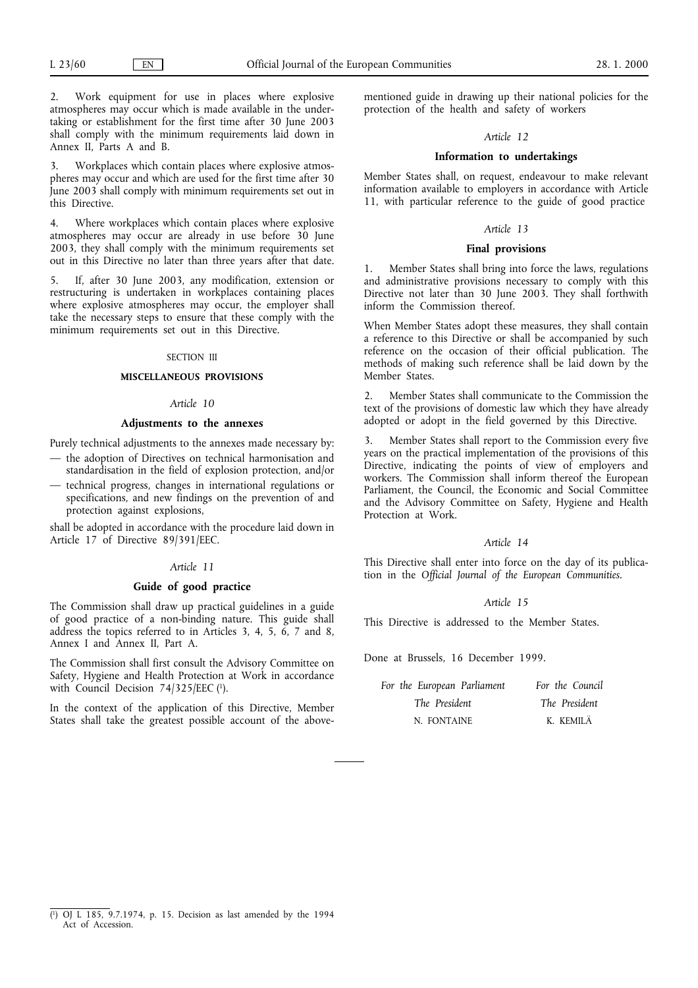2. Work equipment for use in places where explosive atmospheres may occur which is made available in the undertaking or establishment for the first time after 30 June 2003 shall comply with the minimum requirements laid down in Annex II, Parts A and B.

3. Workplaces which contain places where explosive atmospheres may occur and which are used for the first time after 30 June 2003 shall comply with minimum requirements set out in this Directive.

4. Where workplaces which contain places where explosive atmospheres may occur are already in use before 30 June 2003, they shall comply with the minimum requirements set out in this Directive no later than three years after that date.

5. If, after 30 June 2003, any modification, extension or restructuring is undertaken in workplaces containing places where explosive atmospheres may occur, the employer shall take the necessary steps to ensure that these comply with the minimum requirements set out in this Directive.

### SECTION III

# **MISCELLANEOUS PROVISIONS**

#### *Article 10*

#### **Adjustments to the annexes**

Purely technical adjustments to the annexes made necessary by: — the adoption of Directives on technical harmonisation and

standardisation in the field of explosion protection, and/or — technical progress, changes in international regulations or specifications, and new findings on the prevention of and protection against explosions,

shall be adopted in accordance with the procedure laid down in Article 17 of Directive 89/391/EEC.

#### *Article 11*

# **Guide of good practice**

The Commission shall draw up practical guidelines in a guide of good practice of a non-binding nature. This guide shall address the topics referred to in Articles 3, 4, 5, 6, 7 and 8, Annex I and Annex II, Part A.

The Commission shall first consult the Advisory Committee on Safety, Hygiene and Health Protection at Work in accordance with Council Decision 74/325/EEC (1).

In the context of the application of this Directive, Member States shall take the greatest possible account of the abovementioned guide in drawing up their national policies for the protection of the health and safety of workers

#### *Article 12*

# **Information to undertakings**

Member States shall, on request, endeavour to make relevant information available to employers in accordance with Article 11, with particular reference to the guide of good practice

### *Article 13*

### **Final provisions**

1. Member States shall bring into force the laws, regulations and administrative provisions necessary to comply with this Directive not later than 30 June 2003. They shall forthwith inform the Commission thereof.

When Member States adopt these measures, they shall contain a reference to this Directive or shall be accompanied by such reference on the occasion of their official publication. The methods of making such reference shall be laid down by the Member States.

2. Member States shall communicate to the Commission the text of the provisions of domestic law which they have already adopted or adopt in the field governed by this Directive.

3. Member States shall report to the Commission every five years on the practical implementation of the provisions of this Directive, indicating the points of view of employers and workers. The Commission shall inform thereof the European Parliament, the Council, the Economic and Social Committee and the Advisory Committee on Safety, Hygiene and Health Protection at Work.

#### *Article 14*

This Directive shall enter into force on the day of its publication in the *Official Journal of the European Communities*.

#### *Article 15*

This Directive is addressed to the Member States.

Done at Brussels, 16 December 1999.

| For the European Parliament | For the Council |
|-----------------------------|-----------------|
| The President               | The President   |
| N. FONTAINE                 | K. KEMILÄ       |

<sup>(</sup> 1) OJ L 185, 9.7.1974, p. 15. Decision as last amended by the 1994 Act of Accession.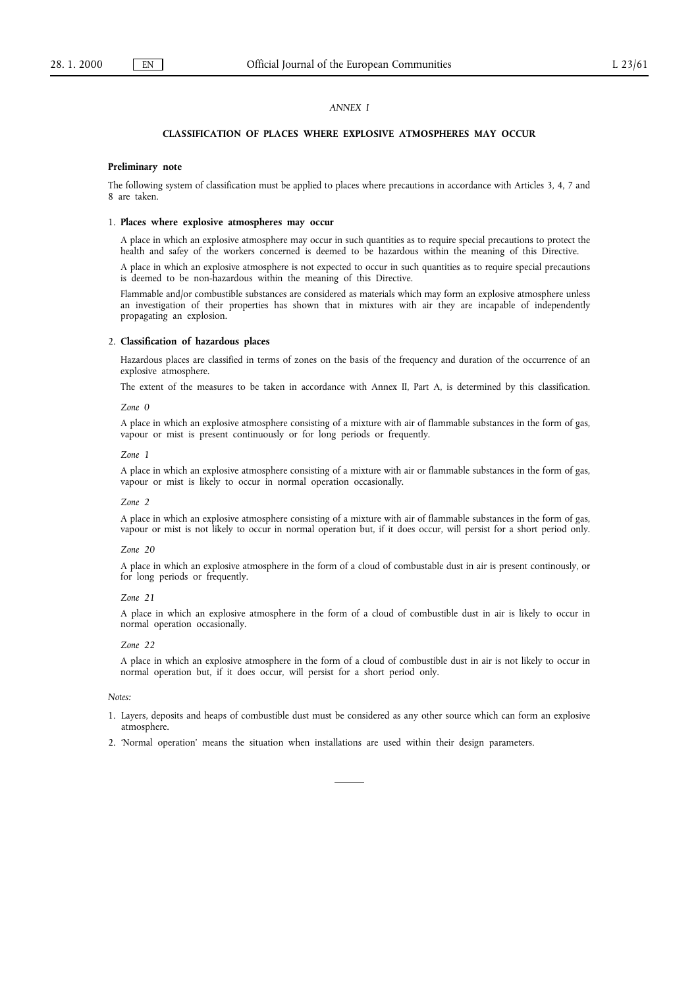## *ANNEX I*

## **CLASSIFICATION OF PLACES WHERE EXPLOSIVE ATMOSPHERES MAY OCCUR**

#### **Preliminary note**

The following system of classification must be applied to places where precautions in accordance with Articles 3, 4, 7 and 8 are taken.

### 1. **Places where explosive atmospheres may occur**

A place in which an explosive atmosphere may occur in such quantities as to require special precautions to protect the health and safey of the workers concerned is deemed to be hazardous within the meaning of this Directive.

A place in which an explosive atmosphere is not expected to occur in such quantities as to require special precautions is deemed to be non-hazardous within the meaning of this Directive.

Flammable and/or combustible substances are considered as materials which may form an explosive atmosphere unless an investigation of their properties has shown that in mixtures with air they are incapable of independently propagating an explosion.

#### 2. **Classification of hazardous places**

Hazardous places are classified in terms of zones on the basis of the frequency and duration of the occurrence of an explosive atmosphere.

The extent of the measures to be taken in accordance with Annex II, Part A, is determined by this classification.

#### *Zone 0*

A place in which an explosive atmosphere consisting of a mixture with air of flammable substances in the form of gas, vapour or mist is present continuously or for long periods or frequently.

#### *Zone 1*

A place in which an explosive atmosphere consisting of a mixture with air or flammable substances in the form of gas, vapour or mist is likely to occur in normal operation occasionally.

#### *Zone 2*

A place in which an explosive atmosphere consisting of a mixture with air of flammable substances in the form of gas, vapour or mist is not likely to occur in normal operation but, if it does occur, will persist for a short period only.

#### *Zone 20*

A place in which an explosive atmosphere in the form of a cloud of combustable dust in air is present continously, or for long periods or frequently.

#### *Zone 21*

A place in which an explosive atmosphere in the form of a cloud of combustible dust in air is likely to occur in normal operation occasionally.

#### *Zone 22*

A place in which an explosive atmosphere in the form of a cloud of combustible dust in air is not likely to occur in normal operation but, if it does occur, will persist for a short period only.

### *Notes:*

- 1. Layers, deposits and heaps of combustible dust must be considered as any other source which can form an explosive atmosphere.
- 2. 'Normal operation' means the situation when installations are used within their design parameters.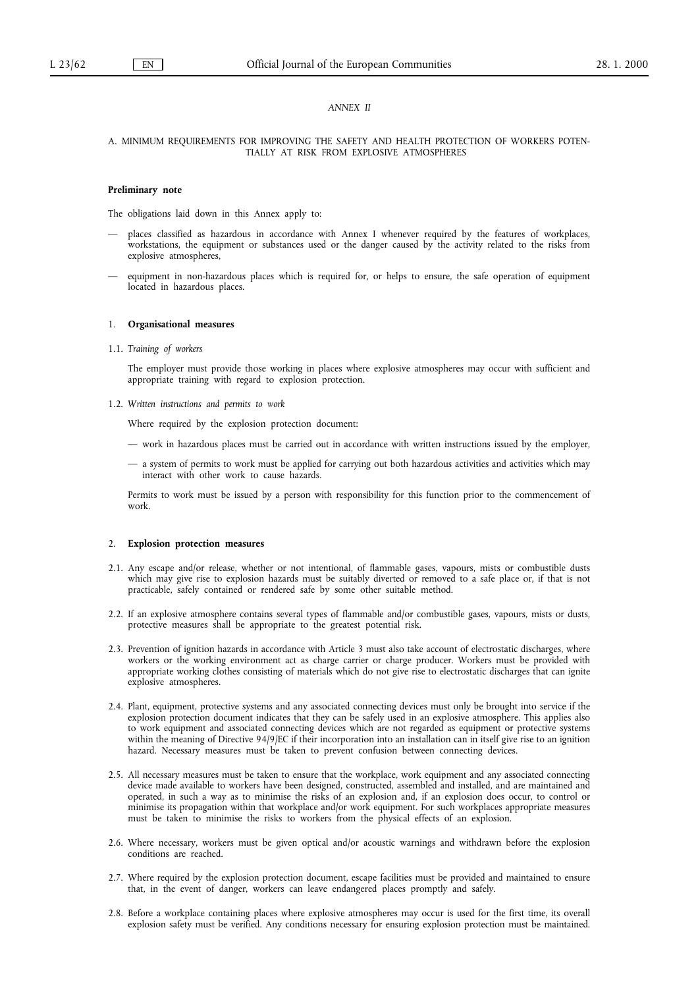### *ANNEX II*

## A. MINIMUM REQUIREMENTS FOR IMPROVING THE SAFETY AND HEALTH PROTECTION OF WORKERS POTEN-TIALLY AT RISK FROM EXPLOSIVE ATMOSPHERES

#### **Preliminary note**

The obligations laid down in this Annex apply to:

- places classified as hazardous in accordance with Annex I whenever required by the features of workplaces, workstations, the equipment or substances used or the danger caused by the activity related to the risks from explosive atmospheres,
- equipment in non-hazardous places which is required for, or helps to ensure, the safe operation of equipment located in hazardous places.

### 1. **Organisational measures**

1.1. *Training of workers*

The employer must provide those working in places where explosive atmospheres may occur with sufficient and appropriate training with regard to explosion protection.

1.2. *Written instructions and permits to work*

Where required by the explosion protection document:

- work in hazardous places must be carried out in accordance with written instructions issued by the employer,
- a system of permits to work must be applied for carrying out both hazardous activities and activities which may interact with other work to cause hazards.

Permits to work must be issued by a person with responsibility for this function prior to the commencement of work.

### 2. **Explosion protection measures**

- 2.1. Any escape and/or release, whether or not intentional, of flammable gases, vapours, mists or combustible dusts which may give rise to explosion hazards must be suitably diverted or removed to a safe place or, if that is not practicable, safely contained or rendered safe by some other suitable method.
- 2.2. If an explosive atmosphere contains several types of flammable and/or combustible gases, vapours, mists or dusts, protective measures shall be appropriate to the greatest potential risk.
- 2.3. Prevention of ignition hazards in accordance with Article 3 must also take account of electrostatic discharges, where workers or the working environment act as charge carrier or charge producer. Workers must be provided with appropriate working clothes consisting of materials which do not give rise to electrostatic discharges that can ignite explosive atmospheres.
- 2.4. Plant, equipment, protective systems and any associated connecting devices must only be brought into service if the explosion protection document indicates that they can be safely used in an explosive atmosphere. This applies also to work equipment and associated connecting devices which are not regarded as equipment or protective systems within the meaning of Directive 94/9/EC if their incorporation into an installation can in itself give rise to an ignition hazard. Necessary measures must be taken to prevent confusion between connecting devices.
- 2.5. All necessary measures must be taken to ensure that the workplace, work equipment and any associated connecting device made available to workers have been designed, constructed, assembled and installed, and are maintained and operated, in such a way as to minimise the risks of an explosion and, if an explosion does occur, to control or minimise its propagation within that workplace and/or work equipment. For such workplaces appropriate measures must be taken to minimise the risks to workers from the physical effects of an explosion.
- 2.6. Where necessary, workers must be given optical and/or acoustic warnings and withdrawn before the explosion conditions are reached.
- 2.7. Where required by the explosion protection document, escape facilities must be provided and maintained to ensure that, in the event of danger, workers can leave endangered places promptly and safely.
- 2.8. Before a workplace containing places where explosive atmospheres may occur is used for the first time, its overall explosion safety must be verified. Any conditions necessary for ensuring explosion protection must be maintained.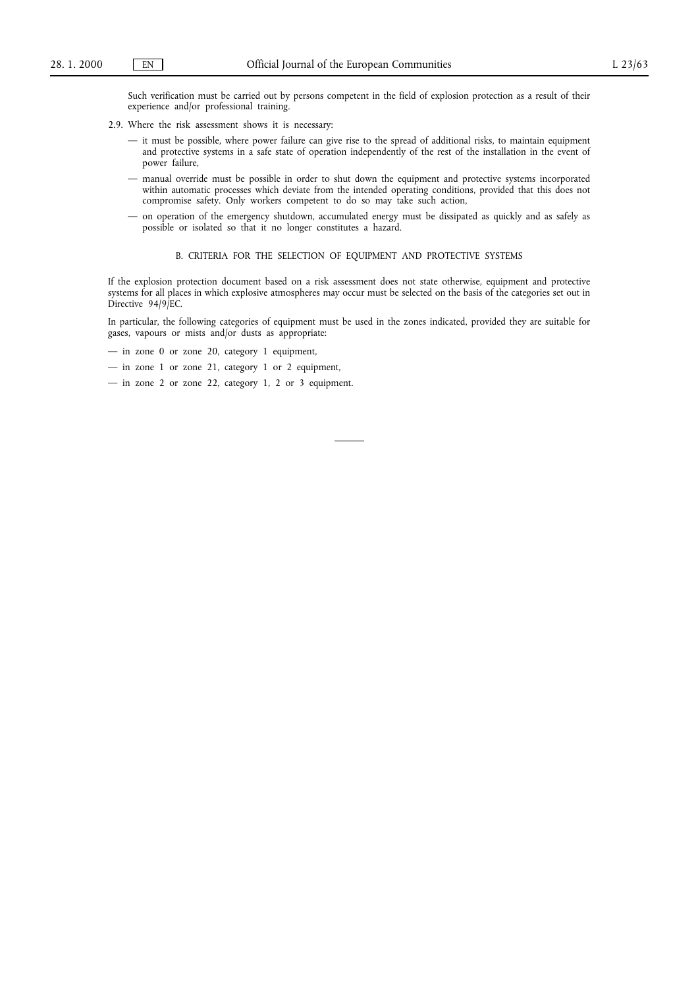Such verification must be carried out by persons competent in the field of explosion protection as a result of their experience and/or professional training.

- 2.9. Where the risk assessment shows it is necessary:
	- it must be possible, where power failure can give rise to the spread of additional risks, to maintain equipment and protective systems in a safe state of operation independently of the rest of the installation in the event of power failure,
	- manual override must be possible in order to shut down the equipment and protective systems incorporated within automatic processes which deviate from the intended operating conditions, provided that this does not compromise safety. Only workers competent to do so may take such action,
	- on operation of the emergency shutdown, accumulated energy must be dissipated as quickly and as safely as possible or isolated so that it no longer constitutes a hazard.

### B. CRITERIA FOR THE SELECTION OF EQUIPMENT AND PROTECTIVE SYSTEMS

If the explosion protection document based on a risk assessment does not state otherwise, equipment and protective systems for all places in which explosive atmospheres may occur must be selected on the basis of the categories set out in Directive 94/9/EC.

In particular, the following categories of equipment must be used in the zones indicated, provided they are suitable for gases, vapours or mists and/or dusts as appropriate:

— in zone 0 or zone 20, category 1 equipment,

 $-$  in zone 1 or zone 21, category 1 or 2 equipment,

— in zone 2 or zone 22, category 1, 2 or 3 equipment.